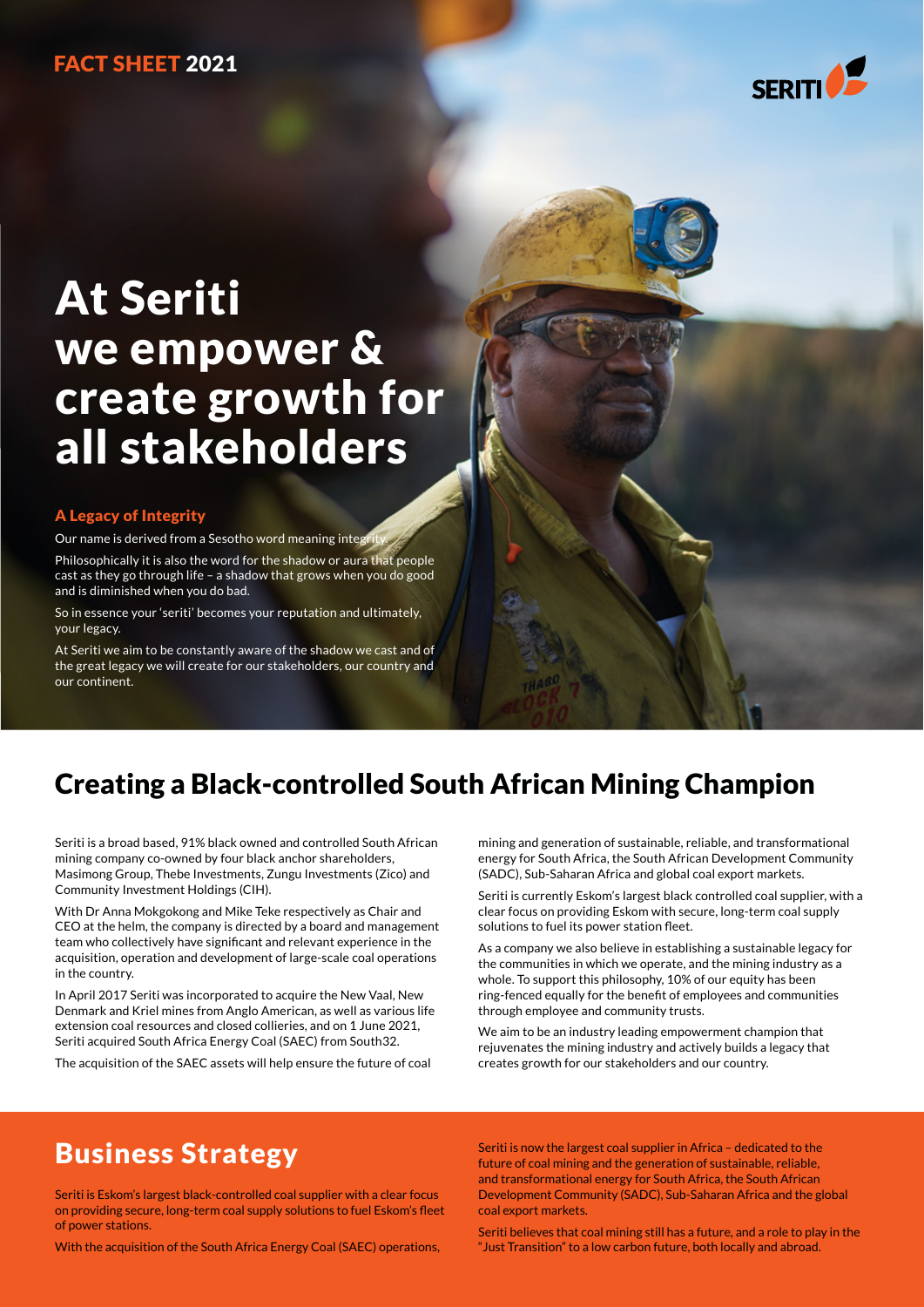### FACT SHEET 2021



# At Seriti we empower & create growth for all stakeholders

#### A Legacy of Integrity

Our name is derived from a Sesotho word meaning integrity.

Philosophically it is also the word for the shadow or aura that people cast as they go through life – a shadow that grows when you do good and is diminished when you do bad.

So in essence your 'seriti' becomes your reputation and ultimately, your legacy.

At Seriti we aim to be constantly aware of the shadow we cast and of the great legacy we will create for our stakeholders, our country and our continent.

### Creating a Black-controlled South African Mining Champion

Seriti is a broad based, 91% black owned and controlled South African mining company co-owned by four black anchor shareholders, Masimong Group, Thebe Investments, Zungu Investments (Zico) and Community Investment Holdings (CIH).

With Dr Anna Mokgokong and Mike Teke respectively as Chair and CEO at the helm, the company is directed by a board and management team who collectively have significant and relevant experience in the acquisition, operation and development of large-scale coal operations in the country.

In April 2017 Seriti was incorporated to acquire the New Vaal, New Denmark and Kriel mines from Anglo American, as well as various life extension coal resources and closed collieries, and on 1 June 2021, Seriti acquired South Africa Energy Coal (SAEC) from South32.

The acquisition of the SAEC assets will help ensure the future of coal

mining and generation of sustainable, reliable, and transformational energy for South Africa, the South African Development Community (SADC), Sub-Saharan Africa and global coal export markets.

Seriti is currently Eskom's largest black controlled coal supplier, with a clear focus on providing Eskom with secure, long-term coal supply solutions to fuel its power station fleet.

As a company we also believe in establishing a sustainable legacy for the communities in which we operate, and the mining industry as a whole. To support this philosophy, 10% of our equity has been ring-fenced equally for the benefit of employees and communities through employee and community trusts.

We aim to be an industry leading empowerment champion that rejuvenates the mining industry and actively builds a legacy that creates growth for our stakeholders and our country.

### Business Strategy

Seriti is Eskom's largest black-controlled coal supplier with a clear focus on providing secure, long-term coal supply solutions to fuel Eskom's fleet of power stations.

With the acquisition of the South Africa Energy Coal (SAEC) operations,

Seriti is now the largest coal supplier in Africa – dedicated to the future of coal mining and the generation of sustainable, reliable, and transformational energy for South Africa, the South African Development Community (SADC), Sub-Saharan Africa and the global coal export markets.

Seriti believes that coal mining still has a future, and a role to play in the "Just Transition" to a low carbon future, both locally and abroad.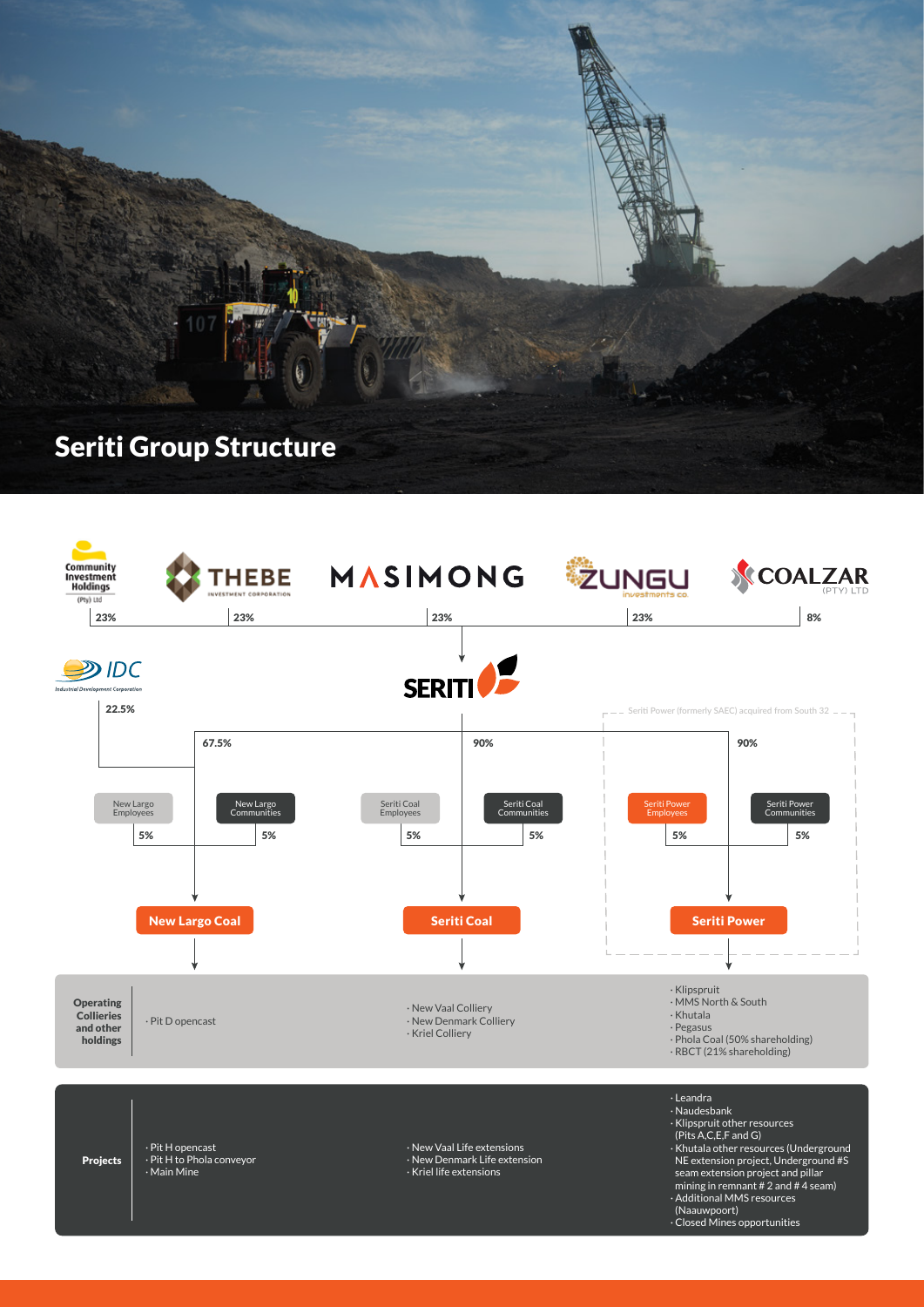